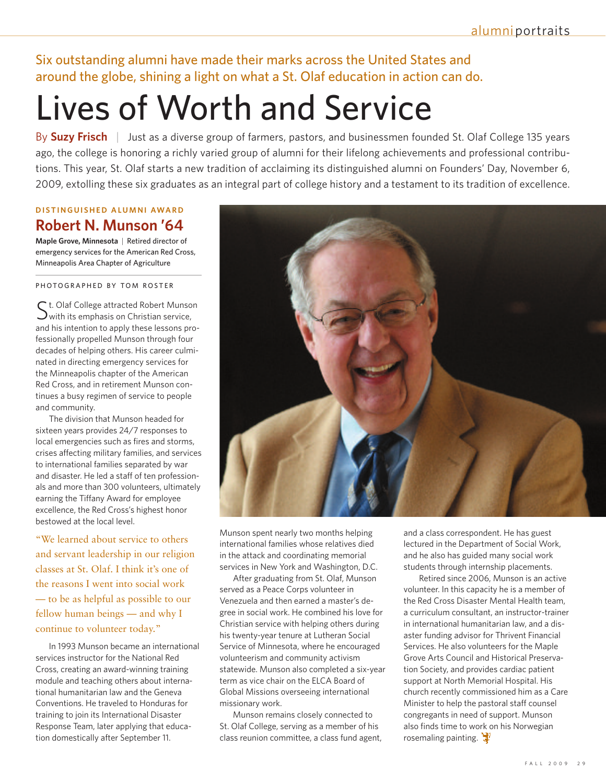Six outstanding alumni have made their marks across the United States and around the globe, shining a light on what a St. Olaf education in action can do.

# Lives of Worth and Service

By **Suzy Frisch** | Just as a diverse group of farmers, pastors, and businessmen founded St. Olaf College 135 years ago, the college is honoring a richly varied group of alumni for their lifelong achievements and professional contributions. This year, St. Olaf starts a new tradition of acclaiming its distinguished alumni on Founders' Day, November 6, 2009, extolling these six graduates as an integral part of college history and a testament to its tradition of excellence.

## **D I STI N GUI S H E D ALU M N I AWAR D Robert N. Munson '64**

**Maple Grove, Minnesota** | Retired director of emergency services for the American Red Cross, Minneapolis Area Chapter of Agriculture

PHOTOGRAPHED BY TOM ROSTER

 $\mathsf{\mathsf{C}}$  t. Olaf College attracted Robert Munson  $\sum$  with its emphasis on Christian service, and his intention to apply these lessons professionally propelled Munson through four decades of helping others. His career culminated in directing emergency services for the Minneapolis chapter of the American Red Cross, and in retirement Munson continues a busy regimen of service to people and community.

The division that Munson headed for sixteen years provides 24/7 responses to local emergencies such as fires and storms, crises affecting military families, and services to international families separated by war and disaster. He led a staff of ten professionals and more than 300 volunteers, ultimately earning the Tiffany Award for employee excellence, the Red Cross's highest honor bestowed at the local level.

"We learned about service to others and servant leadership in our religion classes at St. Olaf. I think it's one of the reasons I went into social work — to be as helpful as possible to our fellow human beings — and why I continue to volunteer today."

In 1993 Munson became an international services instructor for the National Red Cross, creating an award-winning training module and teaching others about international humanitarian law and the Geneva Conventions. He traveled to Honduras for training to join its International Disaster Response Team, later applying that education domestically after September 11.



Munson spent nearly two months helping international families whose relatives died in the attack and coordinating memorial services in New York and Washington, D.C.

After graduating from St. Olaf, Munson served as a Peace Corps volunteer in Venezuela and then earned a master's degree in social work. He combined his love for Christian service with helping others during his twenty-year tenure at Lutheran Social Service of Minnesota, where he encouraged volunteerism and community activism statewide. Munson also completed a six-year term as vice chair on the ELCA Board of Global Missions overseeing international missionary work.

Munson remains closely connected to St. Olaf College, serving as a member of his class reunion committee, a class fund agent, and a class correspondent. He has guest lectured in the Department of Social Work, and he also has guided many social work students through internship placements.

Retired since 2006, Munson is an active volunteer. In this capacity he is a member of the Red Cross Disaster Mental Health team, a curriculum consultant, an instructor-trainer in international humanitarian law, and a disaster funding advisor for Thrivent Financial Services. He also volunteers for the Maple Grove Arts Council and Historical Preservation Society, and provides cardiac patient support at North Memorial Hospital. His church recently commissioned him as a Care Minister to help the pastoral staff counsel congregants in need of support. Munson also finds time to work on his Norwegian rosemaling painting.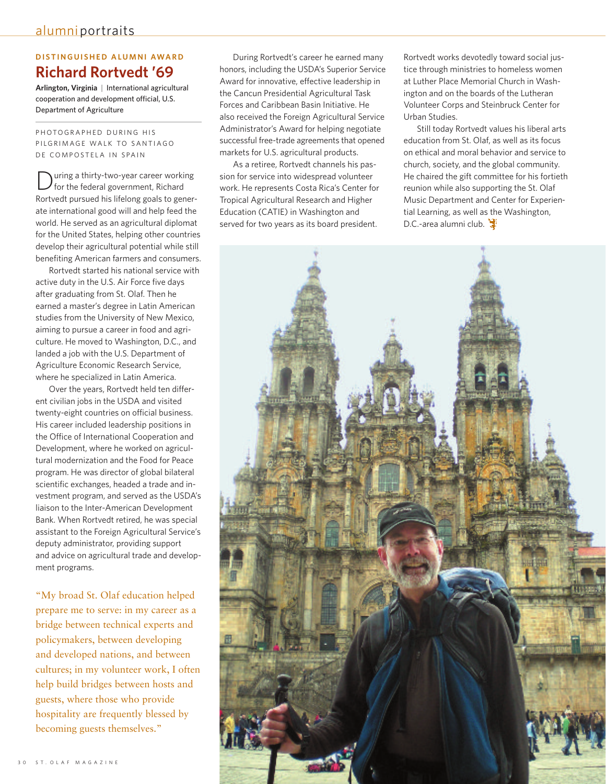## $D$  **ISTINGUISHED ALUMNI AWARD Richard Rortvedt '69**

**Arlington, Virginia** | International agricultural cooperation and development official, U.S. Department of Agriculture

PHOTOGRAPHED DURING HIS PILGRIMAGE WALK TO SANTIAGO DE COMPOSTELA IN SPAIN

uring a thirty-two-year career working for the federal government, Richard Rortvedt pursued his lifelong goals to generate international good will and help feed the world. He served as an agricultural diplomat for the United States, helping other countries develop their agricultural potential while still benefiting American farmers and consumers.

Rortvedt started his national service with active duty in the U.S. Air Force five days after graduating from St. Olaf. Then he earned a master's degree in Latin American studies from the University of New Mexico, aiming to pursue a career in food and agriculture. He moved to Washington, D.C., and landed a job with the U.S. Department of Agriculture Economic Research Service, where he specialized in Latin America.

Over the years, Rortvedt held ten different civilian jobs in the USDA and visited twenty-eight countries on official business. His career included leadership positions in the Office of International Cooperation and Development, where he worked on agricultural modernization and the Food for Peace program. He was director of global bilateral scientific exchanges, headed a trade and investment program, and served as the USDA's liaison to the Inter-American Development Bank. When Rortvedt retired, he was special assistant to the Foreign Agricultural Service's deputy administrator, providing support and advice on agricultural trade and development programs.

"My broad St. Olaf education helped prepare me to serve: in my career as a bridge between technical experts and policymakers, between developing and developed nations, and between cultures; in my volunteer work, I often help build bridges between hosts and guests, where those who provide hospitality are frequently blessed by becoming guests themselves."

During Rortvedt's career he earned many honors, including the USDA's Superior Service Award for innovative, effective leadership in the Cancun Presidential Agricultural Task Forces and Caribbean Basin Initiative. He also received the Foreign Agricultural Service Administrator's Award for helping negotiate successful free-trade agreements that opened markets for U.S. agricultural products.

As a retiree, Rortvedt channels his passion for service into widespread volunteer work. He represents Costa Rica's Center for Tropical Agricultural Research and Higher Education (CATIE) in Washington and served for two years as its board president.

Rortvedt works devotedly toward social justice through ministries to homeless women at Luther Place Memorial Church in Washington and on the boards of the Lutheran Volunteer Corps and Steinbruck Center for Urban Studies.

Still today Rortvedt values his liberal arts education from St. Olaf, as well as its focus on ethical and moral behavior and service to church, society, and the global community. He chaired the gift committee for his fortieth reunion while also supporting the St. Olaf Music Department and Center for Experiential Learning, as well as the Washington, D.C.-area alumni club.

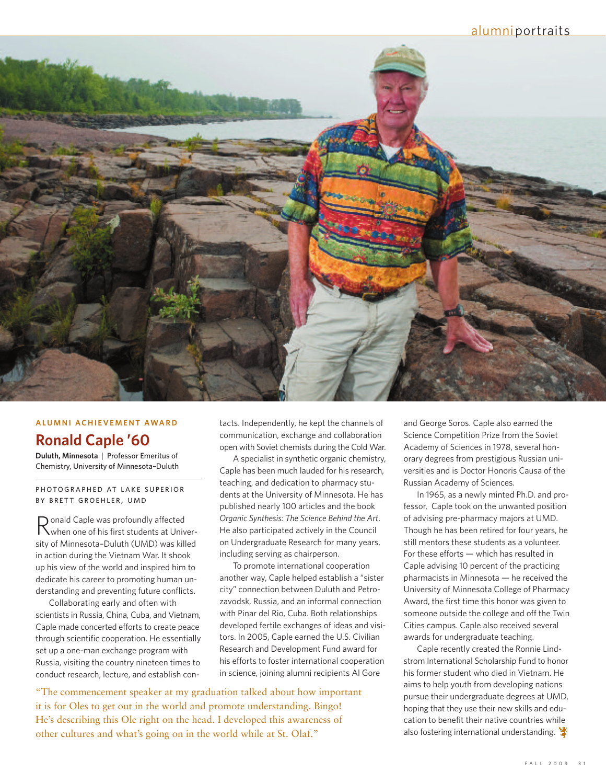### alumniportraits



#### **ALU M N I AC H I EVE M E N T AWAR D**

# **Ronald Caple '60**

**Duluth, Minnesota** | Professor Emeritus of Chemistry, University of Minnesota–Duluth

PHOTOGRAPHED AT LAKE SUPERIOR BY BRETT GROEHLER, UMD

Ronald Caple was profoundly affected when one of his first students at University of Minnesota–Duluth (UMD) was killed in action during the Vietnam War. It shook up his view of the world and inspired him to dedicate his career to promoting human understanding and preventing future conflicts.

Collaborating early and often with scientists in Russia, China, Cuba, and Vietnam, Caple made concerted efforts to create peace through scientific cooperation. He essentially set up a one-man exchange program with Russia, visiting the country nineteen times to conduct research, lecture, and establish contacts. Independently, he kept the channels of communication, exchange and collaboration open with Soviet chemists during the Cold War.

A specialist in synthetic organic chemistry, Caple has been much lauded for his research, teaching, and dedication to pharmacy students at the University of Minnesota. He has published nearly 100 articles and the book *Organic Synthesis: The Science Behind the Art*. He also participated actively in the Council on Undergraduate Research for many years, including serving as chairperson.

To promote international cooperation another way, Caple helped establish a "sister city" connection between Duluth and Petrozavodsk, Russia, and an informal connection with Pinar del Rio, Cuba. Both relationships developed fertile exchanges of ideas and visitors. In 2005, Caple earned the U.S. Civilian Research and Development Fund award for his efforts to foster international cooperation in science, joining alumni recipients Al Gore

"The commencement speaker at my graduation talked about how important it is for Oles to get out in the world and promote understanding. Bingo! He's describing this Ole right on the head. I developed this awareness of other cultures and what's going on in the world while at St. Olaf."

and George Soros. Caple also earned the Science Competition Prize from the Soviet Academy of Sciences in 1978, several honorary degrees from prestigious Russian universities and is Doctor Honoris Causa of the Russian Academy of Sciences.

In 1965, as a newly minted Ph.D. and professor, Caple took on the unwanted position of advising pre-pharmacy majors at UMD. Though he has been retired for four years, he still mentors these students as a volunteer. For these efforts — which has resulted in Caple advising 10 percent of the practicing pharmacists in Minnesota — he received the University of Minnesota College of Pharmacy Award, the first time this honor was given to someone outside the college and off the Twin Cities campus. Caple also received several awards for undergraduate teaching.

Caple recently created the Ronnie Lindstrom International Scholarship Fund to honor his former student who died in Vietnam. He aims to help youth from developing nations pursue their undergraduate degrees at UMD, hoping that they use their new skills and education to benefit their native countries while also fostering international understanding.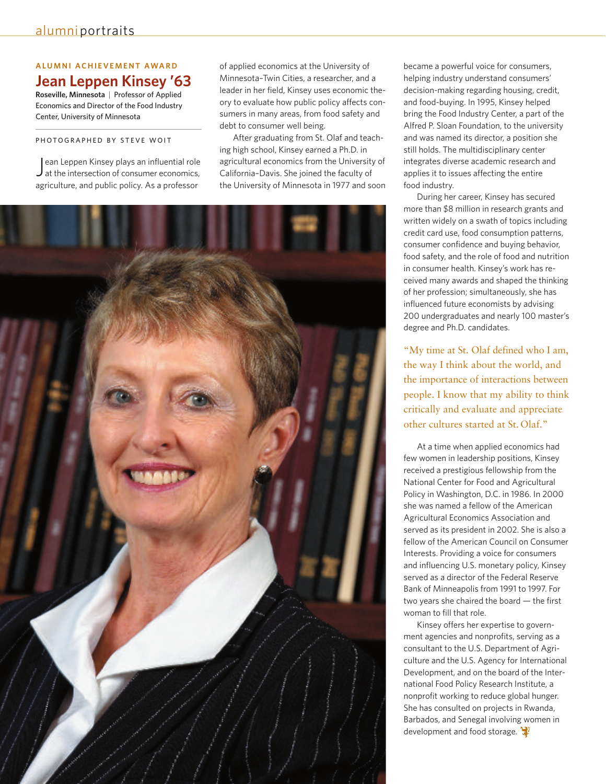#### **ALU M N I AC H I EVE M E N T AWAR D Jean Leppen Kinsey '63**

**Roseville, Minnesota** | Professor of Applied Economics and Director of the Food Industry Center, University of Minnesota

#### PHOTOGRAPHED BY STEVE WOIT

ean Leppen Kinsey plays an influential role<br>at the intersection of consumer economics, ean Leppen Kinsey plays an influential role agriculture, and public policy. As a professor

of applied economics at the University of Minnesota–Twin Cities, a researcher, and a leader in her field, Kinsey uses economic theory to evaluate how public policy affects consumers in many areas, from food safety and debt to consumer well being.

After graduating from St. Olaf and teaching high school, Kinsey earned a Ph.D. in agricultural economics from the University of California–Davis. She joined the faculty of the University of Minnesota in 1977 and soon



became a powerful voice for consumers, helping industry understand consumers' decision-making regarding housing, credit, and food-buying. In 1995, Kinsey helped bring the Food Industry Center, a part of the Alfred P. Sloan Foundation, to the university and was named its director, a position she still holds. The multidisciplinary center integrates diverse academic research and applies it to issues affecting the entire food industry.

During her career, Kinsey has secured more than \$8 million in research grants and written widely on a swath of topics including credit card use, food consumption patterns, consumer confidence and buying behavior, food safety, and the role of food and nutrition in consumer health. Kinsey's work has received many awards and shaped the thinking of her profession; simultaneously, she has influenced future economists by advising 200 undergraduates and nearly 100 master's degree and Ph.D. candidates.

"My time at St. Olaf defined who I am, the way I think about the world, and the importance of interactions between people. I know that my ability to think critically and evaluate and appreciate other cultures started at St. Olaf."

At a time when applied economics had few women in leadership positions, Kinsey received a prestigious fellowship from the National Center for Food and Agricultural Policy in Washington, D.C. in 1986. In 2000 she was named a fellow of the American Agricultural Economics Association and served as its president in 2002. She is also a fellow of the American Council on Consumer Interests. Providing a voice for consumers and influencing U.S. monetary policy, Kinsey served as a director of the Federal Reserve Bank of Minneapolis from 1991 to 1997. For two years she chaired the board — the first woman to fill that role.

Kinsey offers her expertise to government agencies and nonprofits, serving as a consultant to the U.S. Department of Agriculture and the U.S. Agency for International Development, and on the board of the International Food Policy Research Institute, a nonprofit working to reduce global hunger. She has consulted on projects in Rwanda, Barbados, and Senegal involving women in development and food storage.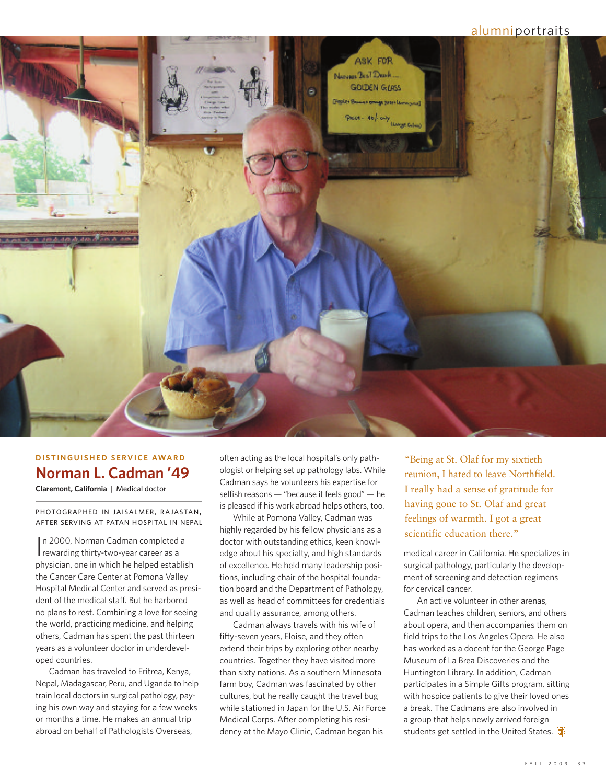#### alumniportraits



# **D I STI N GUI S H E D S E RVICE AWAR D Norman L. Cadman '49**

**Claremont, California** | Medical doctor

PHOTOGRAPHED IN JAISALMER, RAJASTAN, AFTER SERVING AT PATAN HOSPITAL IN NEPAL

In 2000, Norman Cadman completed<br>
rewarding thirtv-two-vear career as a n 2000, Norman Cadman completed a physician, one in which he helped establish the Cancer Care Center at Pomona Valley Hospital Medical Center and served as president of the medical staff. But he harbored no plans to rest. Combining a love for seeing the world, practicing medicine, and helping others, Cadman has spent the past thirteen years as a volunteer doctor in underdeveloped countries.

Cadman has traveled to Eritrea, Kenya, Nepal, Madagascar, Peru, and Uganda to help train local doctors in surgical pathology, paying his own way and staying for a few weeks or months a time. He makes an annual trip abroad on behalf of Pathologists Overseas,

often acting as the local hospital's only pathologist or helping set up pathology labs. While Cadman says he volunteers his expertise for selfish reasons — "because it feels good" — he is pleased if his work abroad helps others, too.

While at Pomona Valley, Cadman was highly regarded by his fellow physicians as a doctor with outstanding ethics, keen knowledge about his specialty, and high standards of excellence. He held many leadership positions, including chair of the hospital foundation board and the Department of Pathology, as well as head of committees for credentials and quality assurance, among others.

Cadman always travels with his wife of fifty-seven years, Eloise, and they often extend their trips by exploring other nearby countries. Together they have visited more than sixty nations. As a southern Minnesota farm boy, Cadman was fascinated by other cultures, but he really caught the travel bug while stationed in Japan for the U.S. Air Force Medical Corps. After completing his residency at the Mayo Clinic, Cadman began his

"Being at St. Olaf for my sixtieth reunion, I hated to leave Northfield. I really had a sense of gratitude for having gone to St. Olaf and great feelings of warmth. I got a great scientific education there."

medical career in California. He specializes in surgical pathology, particularly the development of screening and detection regimens for cervical cancer.

An active volunteer in other arenas, Cadman teaches children, seniors, and others about opera, and then accompanies them on field trips to the Los Angeles Opera. He also has worked as a docent for the George Page Museum of La Brea Discoveries and the Huntington Library. In addition, Cadman participates in a Simple Gifts program, sitting with hospice patients to give their loved ones a break. The Cadmans are also involved in a group that helps newly arrived foreign students get settled in the United States.